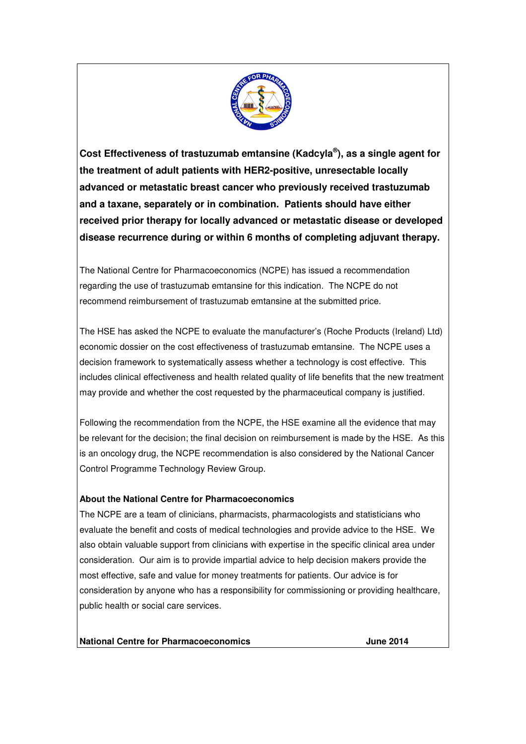

**Cost Effectiveness of trastuzumab emtansine (Kadcyla ® ), as a single agent for the treatment of adult patients with HER2-positive, unresectable locally advanced or metastatic breast cancer who previously received trastuzumab and a taxane, separately or in combination. Patients should have either received prior therapy for locally advanced or metastatic disease or developed disease recurrence during or within 6 months of completing adjuvant therapy.**

The National Centre for Pharmacoeconomics (NCPE) has issued a recommendation regarding the use of trastuzumab emtansine for this indication. The NCPE do not recommend reimbursement of trastuzumab emtansine at the submitted price.

The HSE has asked the NCPE to evaluate the manufacturer's (Roche Products (Ireland) Ltd) economic dossier on the cost effectiveness of trastuzumab emtansine. The NCPE uses a decision framework to systematically assess whether a technology is cost effective. This includes clinical effectiveness and health related quality of life benefits that the new treatment may provide and whether the cost requested by the pharmaceutical company is justified.

Following the recommendation from the NCPE, the HSE examine all the evidence that may be relevant for the decision; the final decision on reimbursement is made by the HSE. As this is an oncology drug, the NCPE recommendation is also considered by the National Cancer Control Programme Technology Review Group.

## **About the National Centre for Pharmacoeconomics**

The NCPE are a team of clinicians, pharmacists, pharmacologists and statisticians who evaluate the benefit and costs of medical technologies and provide advice to the HSE. We also obtain valuable support from clinicians with expertise in the specific clinical area under consideration. Our aim is to provide impartial advice to help decision makers provide the most effective, safe and value for money treatments for patients. Our advice is for consideration by anyone who has a responsibility for commissioning or providing healthcare, public health or social care services.

**National Centre for Pharmacoeconomics June 2014**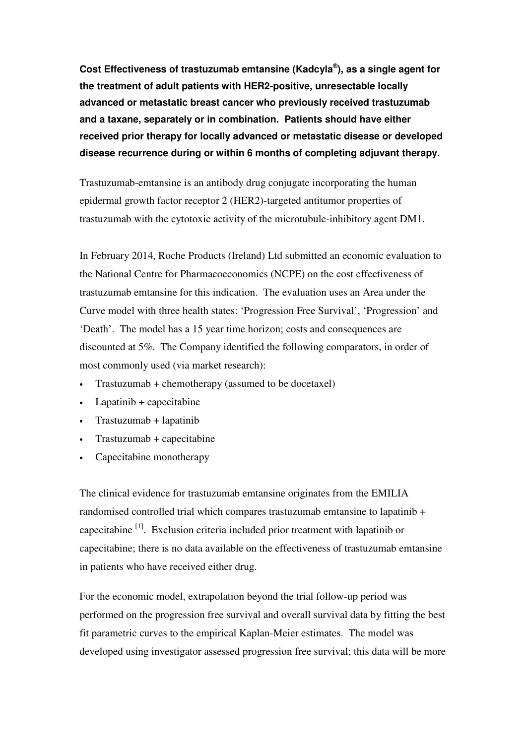**Cost Effectiveness of trastuzumab emtansine (Kadcyla ® ), as a single agent for the treatment of adult patients with HER2-positive, unresectable locally advanced or metastatic breast cancer who previously received trastuzumab and a taxane, separately or in combination. Patients should have either received prior therapy for locally advanced or metastatic disease or developed disease recurrence during or within 6 months of completing adjuvant therapy.**

Trastuzumab-emtansine is an antibody drug conjugate incorporating the human epidermal growth factor receptor 2 (HER2)-targeted antitumor properties of trastuzumab with the cytotoxic activity of the microtubule-inhibitory agent DM1.

In February 2014, Roche Products (Ireland) Ltd submitted an economic evaluation to the National Centre for Pharmacoeconomics (NCPE) on the cost effectiveness of trastuzumab emtansine for this indication. The evaluation uses an Area under the Curve model with three health states: 'Progression Free Survival', 'Progression' and 'Death'. The model has a 15 year time horizon; costs and consequences are discounted at 5%. The Company identified the following comparators, in order of most commonly used (via market research):

- Trastuzumab + chemotherapy (assumed to be docetaxel)
- Lapatinib + capecitabine
- Trastuzumab + lapatinib
- Trastuzumab + capecitabine
- Capecitabine monotherapy

The clinical evidence for trastuzumab emtansine originates from the EMILIA randomised controlled trial which compares trastuzumab emtansine to lapatinib + capecitabine<sup>[1]</sup>. Exclusion criteria included prior treatment with lapatinib or capecitabine; there is no data available on the effectiveness of trastuzumab emtansine in patients who have received either drug.

For the economic model, extrapolation beyond the trial follow-up period was performed on the progression free survival and overall survival data by fitting the best fit parametric curves to the empirical Kaplan-Meier estimates. The model was developed using investigator assessed progression free survival; this data will be more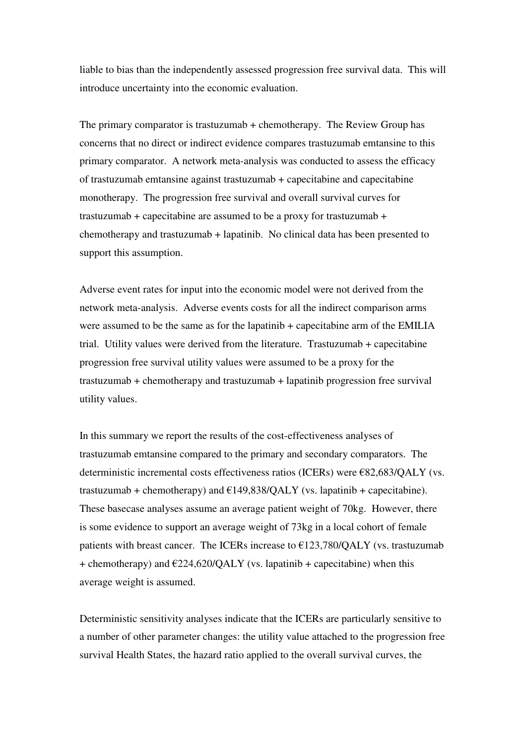liable to bias than the independently assessed progression free survival data. This will introduce uncertainty into the economic evaluation.

The primary comparator is trastuzumab + chemotherapy. The Review Group has concerns that no direct or indirect evidence compares trastuzumab emtansine to this primary comparator. A network meta-analysis was conducted to assess the efficacy of trastuzumab emtansine against trastuzumab + capecitabine and capecitabine monotherapy. The progression free survival and overall survival curves for trastuzumab + capecitabine are assumed to be a proxy for trastuzumab + chemotherapy and trastuzumab + lapatinib. No clinical data has been presented to support this assumption.

Adverse event rates for input into the economic model were not derived from the network meta-analysis. Adverse events costs for all the indirect comparison arms were assumed to be the same as for the lapatinib + capecitabine arm of the EMILIA trial. Utility values were derived from the literature. Trastuzumab + capecitabine progression free survival utility values were assumed to be a proxy for the trastuzumab + chemotherapy and trastuzumab + lapatinib progression free survival utility values.

In this summary we report the results of the cost-effectiveness analyses of trastuzumab emtansine compared to the primary and secondary comparators. The deterministic incremental costs effectiveness ratios (ICERs) were  $E$ 82,683/QALY (vs. trastuzumab + chemotherapy) and  $E149,838/QALY$  (vs. lapatinib + capecitabine). These basecase analyses assume an average patient weight of 70kg. However, there is some evidence to support an average weight of 73kg in a local cohort of female patients with breast cancer. The ICERs increase to  $\epsilon$ 123,780/QALY (vs. trastuzumab + chemotherapy) and  $\epsilon$ 224,620/QALY (vs. lapatinib + capecitabine) when this average weight is assumed.

Deterministic sensitivity analyses indicate that the ICERs are particularly sensitive to a number of other parameter changes: the utility value attached to the progression free survival Health States, the hazard ratio applied to the overall survival curves, the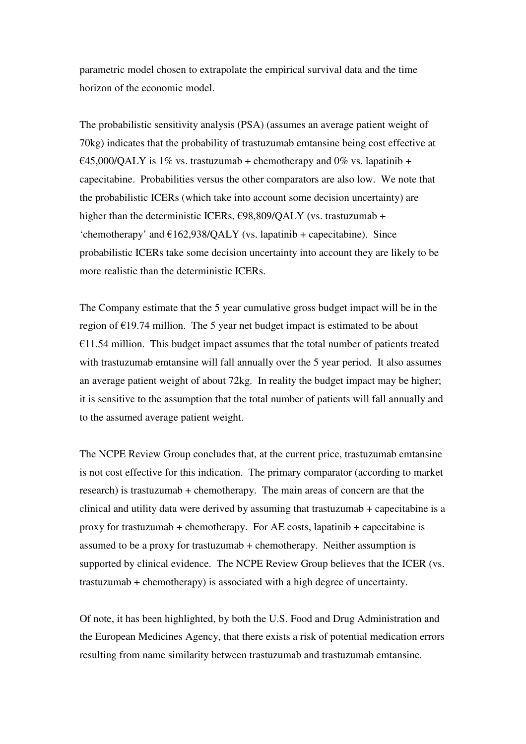parametric model chosen to extrapolate the empirical survival data and the time horizon of the economic model.

The probabilistic sensitivity analysis (PSA) (assumes an average patient weight of 70kg) indicates that the probability of trastuzumab emtansine being cost effective at  $645,000/QALY$  is 1% vs. trastuzumab + chemotherapy and 0% vs. lapatinib + capecitabine. Probabilities versus the other comparators are also low. We note that the probabilistic ICERs (which take into account some decision uncertainty) are higher than the deterministic ICERs,  $\epsilon$ 98,809/QALY (vs. trastuzumab + 'chemotherapy' and  $E162,938/QALY$  (vs. lapatinib + capecitabine). Since probabilistic ICERs take some decision uncertainty into account they are likely to be more realistic than the deterministic ICERs.

The Company estimate that the 5 year cumulative gross budget impact will be in the region of  $E19.74$  million. The 5 year net budget impact is estimated to be about  $£11.54$  million. This budget impact assumes that the total number of patients treated with trastuzumab emtansine will fall annually over the 5 year period. It also assumes an average patient weight of about 72kg. In reality the budget impact may be higher; it is sensitive to the assumption that the total number of patients will fall annually and to the assumed average patient weight.

The NCPE Review Group concludes that, at the current price, trastuzumab emtansine is not cost effective for this indication. The primary comparator (according to market research) is trastuzumab + chemotherapy. The main areas of concern are that the clinical and utility data were derived by assuming that trastuzumab + capecitabine is a proxy for trastuzumab + chemotherapy. For AE costs, lapatinib + capecitabine is assumed to be a proxy for trastuzumab + chemotherapy. Neither assumption is supported by clinical evidence. The NCPE Review Group believes that the ICER (vs. trastuzumab + chemotherapy) is associated with a high degree of uncertainty.

Of note, it has been highlighted, by both the U.S. Food and Drug Administration and the European Medicines Agency, that there exists a risk of potential medication errors resulting from name similarity between trastuzumab and trastuzumab emtansine.